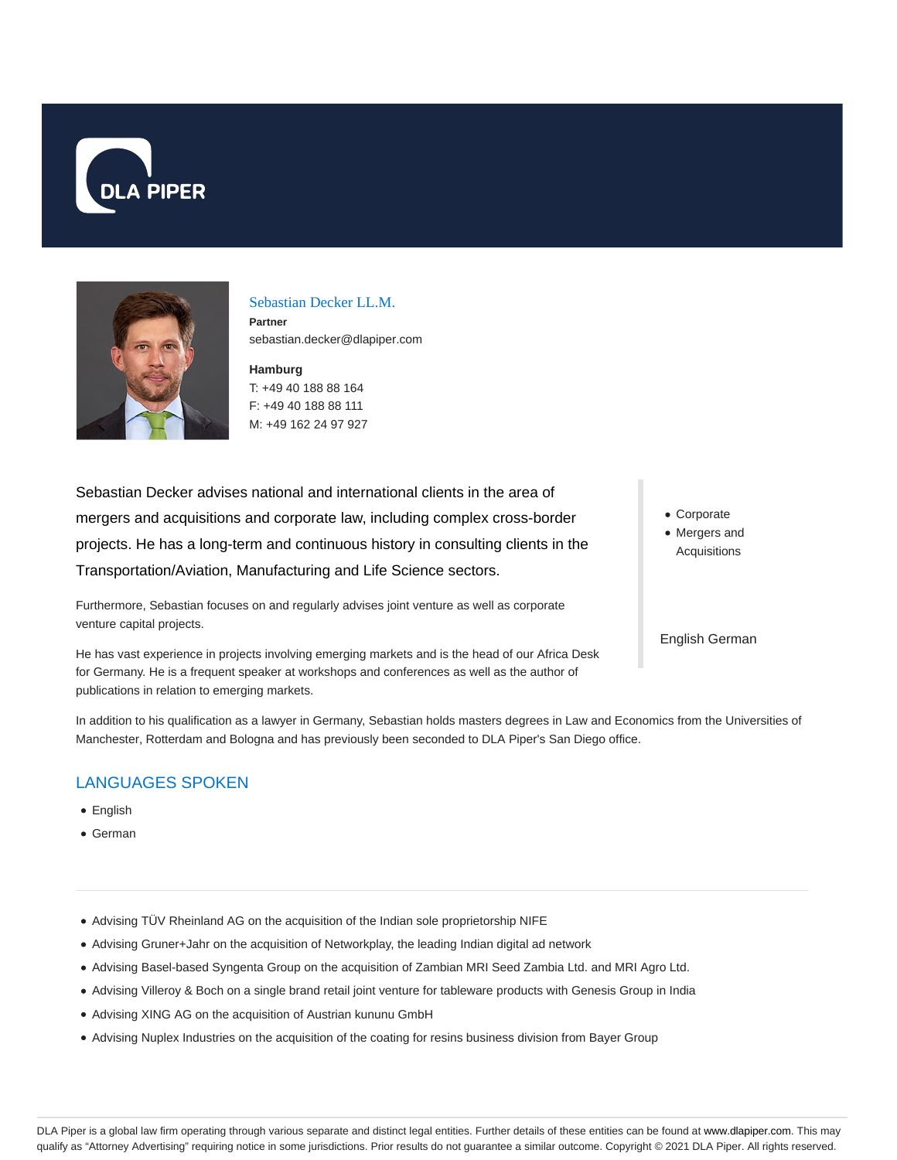



### Sebastian Decker LL.M.

**Partner** sebastian.decker@dlapiper.com

**Hamburg** T: +49 40 188 88 164 F: +49 40 188 88 111 M: +49 162 24 97 927

Sebastian Decker advises national and international clients in the area of mergers and acquisitions and corporate law, including complex cross-border projects. He has a long-term and continuous history in consulting clients in the Transportation/Aviation, Manufacturing and Life Science sectors.

Furthermore, Sebastian focuses on and regularly advises joint venture as well as corporate venture capital projects.

He has vast experience in projects involving emerging markets and is the head of our Africa Desk for Germany. He is a frequent speaker at workshops and conferences as well as the author of publications in relation to emerging markets.

Corporate

Mergers and Acquisitions

English German

In addition to his qualification as a lawyer in Germany, Sebastian holds masters degrees in Law and Economics from the Universities of Manchester, Rotterdam and Bologna and has previously been seconded to DLA Piper's San Diego office.

# LANGUAGES SPOKEN

- English
- German
- Advising TÜV Rheinland AG on the acquisition of the Indian sole proprietorship NIFE
- Advising Gruner+Jahr on the acquisition of Networkplay, the leading Indian digital ad network
- Advising Basel-based Syngenta Group on the acquisition of Zambian MRI Seed Zambia Ltd. and MRI Agro Ltd.
- Advising Villeroy & Boch on a single brand retail joint venture for tableware products with Genesis Group in India
- Advising XING AG on the acquisition of Austrian kununu GmbH
- Advising Nuplex Industries on the acquisition of the coating for resins business division from Bayer Group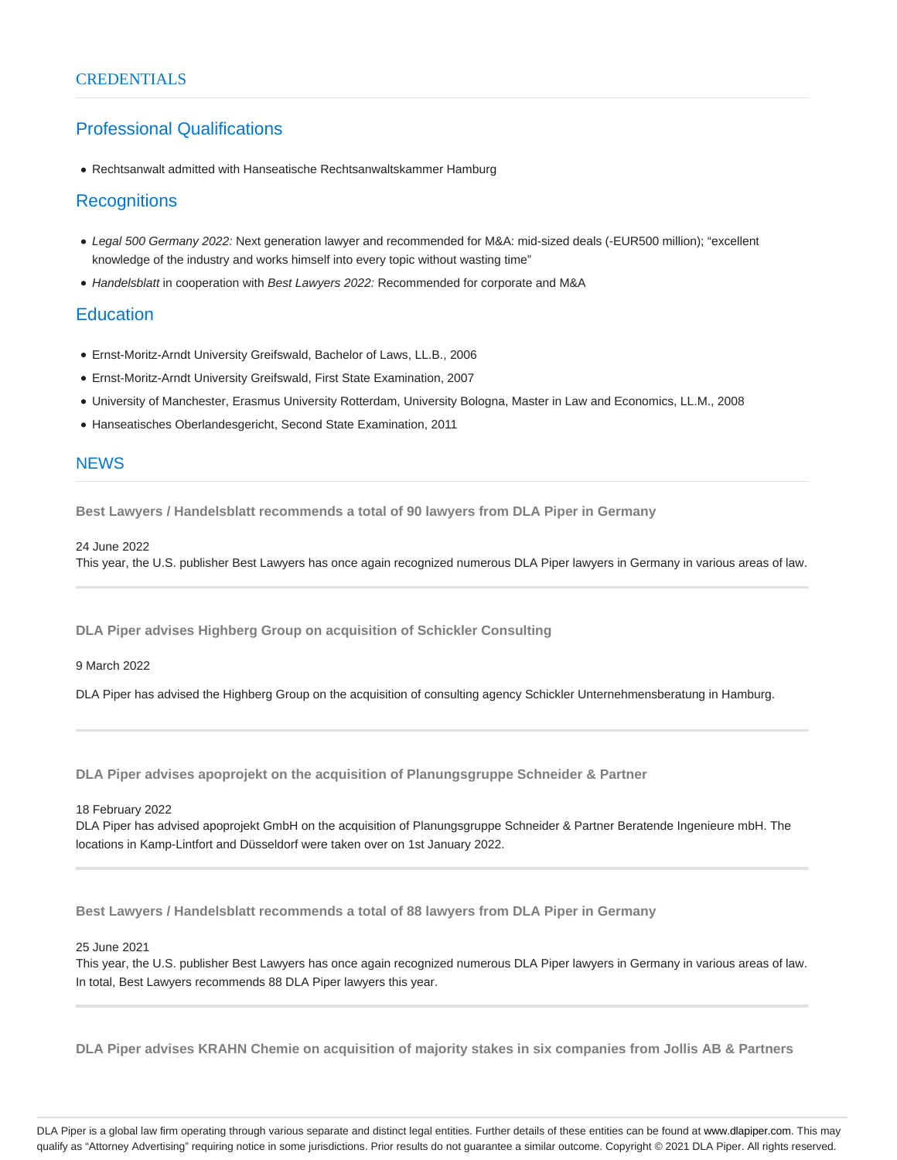# Professional Qualifications

Rechtsanwalt admitted with Hanseatische Rechtsanwaltskammer Hamburg

## **Recognitions**

- Legal 500 Germany 2022: Next generation lawyer and recommended for M&A: mid-sized deals (-EUR500 million); "excellent knowledge of the industry and works himself into every topic without wasting time"
- Handelsblatt in cooperation with Best Lawyers 2022: Recommended for corporate and M&A

## **Education**

- Ernst-Moritz-Arndt University Greifswald, Bachelor of Laws, LL.B., 2006
- Ernst-Moritz-Arndt University Greifswald, First State Examination, 2007
- University of Manchester, Erasmus University Rotterdam, University Bologna, Master in Law and Economics, LL.M., 2008
- Hanseatisches Oberlandesgericht, Second State Examination, 2011

### **NEWS**

**Best Lawyers / Handelsblatt recommends a total of 90 lawyers from DLA Piper in Germany**

#### 24 June 2022

This year, the U.S. publisher Best Lawyers has once again recognized numerous DLA Piper lawyers in Germany in various areas of law.

**DLA Piper advises Highberg Group on acquisition of Schickler Consulting**

9 March 2022

DLA Piper has advised the Highberg Group on the acquisition of consulting agency Schickler Unternehmensberatung in Hamburg.

**DLA Piper advises apoprojekt on the acquisition of Planungsgruppe Schneider & Partner**

#### 18 February 2022

DLA Piper has advised apoprojekt GmbH on the acquisition of Planungsgruppe Schneider & Partner Beratende Ingenieure mbH. The locations in Kamp-Lintfort and Düsseldorf were taken over on 1st January 2022.

**Best Lawyers / Handelsblatt recommends a total of 88 lawyers from DLA Piper in Germany**

25 June 2021

This year, the U.S. publisher Best Lawyers has once again recognized numerous DLA Piper lawyers in Germany in various areas of law. In total, Best Lawyers recommends 88 DLA Piper lawyers this year.

**DLA Piper advises KRAHN Chemie on acquisition of majority stakes in six companies from Jollis AB & Partners**

DLA Piper is a global law firm operating through various separate and distinct legal entities. Further details of these entities can be found at www.dlapiper.com. This may qualify as "Attorney Advertising" requiring notice in some jurisdictions. Prior results do not guarantee a similar outcome. Copyright © 2021 DLA Piper. All rights reserved.